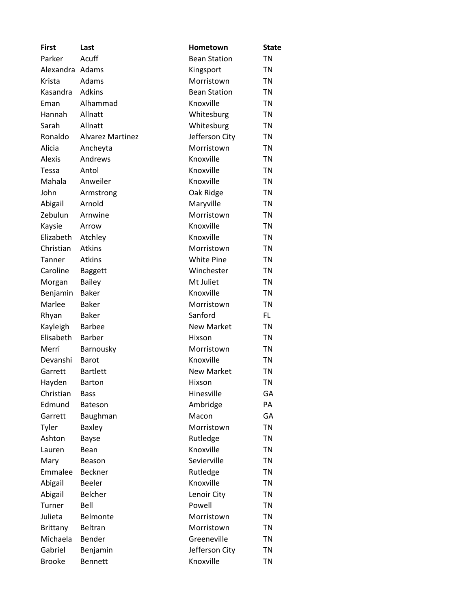| <b>First</b>  | Last                    | Hometown            | <b>State</b> |
|---------------|-------------------------|---------------------|--------------|
| Parker        | Acuff                   | <b>Bean Station</b> | <b>TN</b>    |
| Alexandra     | Adams                   | Kingsport           | TN           |
| Krista        | Adams                   | Morristown          | TN           |
| Kasandra      | <b>Adkins</b>           | <b>Bean Station</b> | TN           |
| Eman          | Alhammad                | Knoxville           | <b>TN</b>    |
| Hannah        | Allnatt                 | Whitesburg          | TN           |
| Sarah         | Allnatt                 | Whitesburg          | TN           |
| Ronaldo       | <b>Alvarez Martinez</b> | Jefferson City      | <b>TN</b>    |
| Alicia        | Ancheyta                | Morristown          | TN           |
| <b>Alexis</b> | Andrews                 | Knoxville           | TN           |
| Tessa         | Antol                   | Knoxville           | TN           |
| Mahala        | Anweiler                | Knoxville           | <b>TN</b>    |
| John          | Armstrong               | Oak Ridge           | TN           |
| Abigail       | Arnold                  | Maryville           | TN           |
| Zebulun       | Arnwine                 | Morristown          | TN           |
| Kaysie        | Arrow                   | Knoxville           | TN           |
| Elizabeth     | Atchley                 | Knoxville           | TN           |
| Christian     | <b>Atkins</b>           | Morristown          | TN           |
| Tanner        | Atkins                  | <b>White Pine</b>   | TN           |
| Caroline      | <b>Baggett</b>          | Winchester          | TN           |
| Morgan        | Bailey                  | Mt Juliet           | TN           |
| Benjamin      | <b>Baker</b>            | Knoxville           | <b>TN</b>    |
| Marlee        | <b>Baker</b>            | Morristown          | TN           |
| Rhyan         | <b>Baker</b>            | Sanford             | FL           |
| Kayleigh      | <b>Barbee</b>           | <b>New Market</b>   | <b>TN</b>    |
| Elisabeth     | <b>Barber</b>           | Hixson              | TN           |
| Merri         | Barnousky               | Morristown          | <b>TN</b>    |
| Devanshi      | <b>Barot</b>            | Knoxville           | TN           |
| Garrett       | <b>Bartlett</b>         | <b>New Market</b>   | TN           |
| Hayden        | <b>Barton</b>           | Hixson              | <b>TN</b>    |
| Christian     | <b>Bass</b>             | Hinesville          | GА           |
| Edmund        | Bateson                 | Ambridge            | PA           |
| Garrett       | Baughman                | Macon               | GA           |
| Tyler         | Baxley                  | Morristown          | <b>TN</b>    |
| Ashton        | <b>Bayse</b>            | Rutledge            | <b>TN</b>    |
| Lauren        | Bean                    | Knoxville           | <b>TN</b>    |
| Mary          | Beason                  | Sevierville         | <b>TN</b>    |
| Emmalee       | Beckner                 | Rutledge            | <b>TN</b>    |
| Abigail       | <b>Beeler</b>           | Knoxville           | <b>TN</b>    |
| Abigail       | <b>Belcher</b>          | Lenoir City         | <b>TN</b>    |
| Turner        | Bell                    | Powell              | <b>TN</b>    |
| Julieta       | Belmonte                | Morristown          | TN           |
| Brittany      | Beltran                 | Morristown          | <b>TN</b>    |
| Michaela      | Bender                  | Greeneville         | <b>TN</b>    |
| Gabriel       | Benjamin                | Jefferson City      | TN           |
| <b>Brooke</b> | <b>Bennett</b>          | Knoxville           | <b>TN</b>    |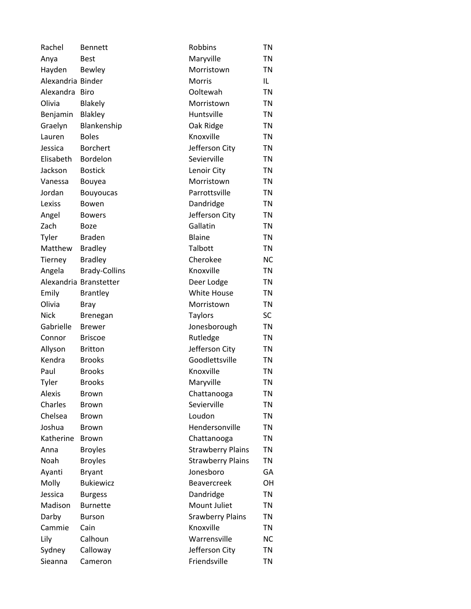| Rachel            | <b>Bennett</b>         | Robbins                  | <b>TN</b> |
|-------------------|------------------------|--------------------------|-----------|
| Anya              | <b>Best</b>            | Maryville                | TN        |
| Hayden            | Bewley                 | Morristown               | TN        |
| Alexandria Binder |                        | <b>Morris</b>            | IL        |
| Alexandra Biro    |                        | Ooltewah                 | <b>TN</b> |
| Olivia            | <b>Blakely</b>         | Morristown               | TN        |
| Benjamin          | <b>Blakley</b>         | Huntsville               | TN        |
| Graelyn           | Blankenship            | Oak Ridge                | TN        |
| Lauren            | <b>Boles</b>           | Knoxville                | TN        |
| Jessica           | <b>Borchert</b>        | Jefferson City           | <b>TN</b> |
| Elisabeth         | Bordelon               | Sevierville              | TN        |
| Jackson           | <b>Bostick</b>         | Lenoir City              | TN        |
| Vanessa           | Bouyea                 | Morristown               | TN        |
| Jordan            | <b>Bouyoucas</b>       | Parrottsville            | TN        |
| Lexiss            | Bowen                  | Dandridge                | <b>TN</b> |
| Angel             | <b>Bowers</b>          | Jefferson City           | <b>TN</b> |
| Zach              | Boze                   | Gallatin                 | TN        |
| Tyler             | <b>Braden</b>          | <b>Blaine</b>            | TN        |
| Matthew           | <b>Bradley</b>         | Talbott                  | <b>TN</b> |
| Tierney           | <b>Bradley</b>         | Cherokee                 | <b>NC</b> |
| Angela            | <b>Brady-Collins</b>   | Knoxville                | TN        |
|                   | Alexandria Branstetter | Deer Lodge               | TN        |
| Emily             | <b>Brantley</b>        | <b>White House</b>       | <b>TN</b> |
| Olivia            | Bray                   | Morristown               | <b>TN</b> |
| Nick              | <b>Brenegan</b>        | <b>Taylors</b>           | SC        |
| Gabrielle         | <b>Brewer</b>          | Jonesborough             | <b>TN</b> |
| Connor            | <b>Briscoe</b>         | Rutledge                 | TN        |
| Allyson           | <b>Britton</b>         | Jefferson City           | <b>TN</b> |
| Kendra            | <b>Brooks</b>          | Goodlettsville           | <b>TN</b> |
| Paul              | <b>Brooks</b>          | Knoxville                | TN        |
| Tyler             | <b>Brooks</b>          | Maryville                | <b>TN</b> |
| <b>Alexis</b>     | <b>Brown</b>           | Chattanooga              | TN        |
| Charles           | <b>Brown</b>           | Sevierville              | TN        |
| Chelsea           | <b>Brown</b>           | Loudon                   | <b>TN</b> |
| Joshua            | <b>Brown</b>           | Hendersonville           | TN        |
| Katherine         | <b>Brown</b>           | Chattanooga              | <b>TN</b> |
| Anna              | <b>Broyles</b>         | <b>Strawberry Plains</b> | TN        |
| Noah              | <b>Broyles</b>         | <b>Strawberry Plains</b> | TN        |
| Ayanti            | <b>Bryant</b>          | Jonesboro                | GA        |
| Molly             | <b>Bukiewicz</b>       | <b>Beavercreek</b>       | OН        |
| Jessica           | <b>Burgess</b>         | Dandridge                | <b>TN</b> |
| Madison           | <b>Burnette</b>        | Mount Juliet             | TN        |
| Darby             | <b>Burson</b>          | <b>Srawberry Plains</b>  | TN        |
| Cammie            | Cain                   | Knoxville                | <b>TN</b> |
| Lily              | Calhoun                | Warrensville             | <b>NC</b> |
| Sydney            | Calloway               | Jefferson City           | <b>TN</b> |
| Sieanna           | Cameron                | Friendsville             | <b>TN</b> |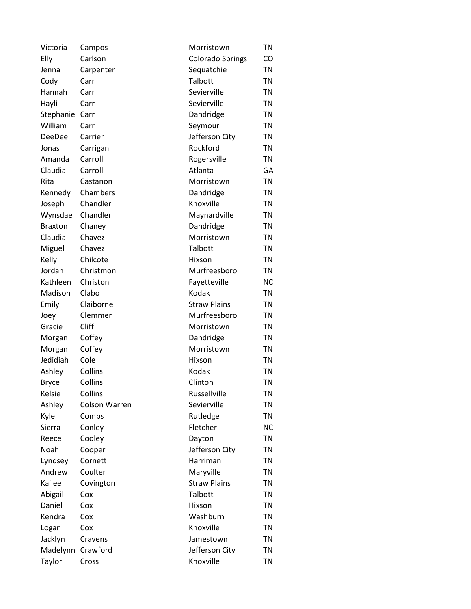| Victoria       | Campos        | Morristown          | TN        |
|----------------|---------------|---------------------|-----------|
| Elly           | Carlson       | Colorado Springs    | CO        |
| Jenna          | Carpenter     | Sequatchie          | <b>TN</b> |
| Cody           | Carr          | Talbott             | <b>TN</b> |
| Hannah         | Carr          | Sevierville         | <b>TN</b> |
| Hayli          | Carr          | Sevierville         | TN        |
| Stephanie      | Carr          | Dandridge           | <b>TN</b> |
| William        | Carr          | Seymour             | <b>TN</b> |
| DeeDee         | Carrier       | Jefferson City      | TN        |
| Jonas          | Carrigan      | Rockford            | <b>TN</b> |
| Amanda         | Carroll       | Rogersville         | TN        |
| Claudia        | Carroll       | Atlanta             | GA        |
| Rita           | Castanon      | Morristown          | <b>TN</b> |
| Kennedy        | Chambers      | Dandridge           | <b>TN</b> |
| Joseph         | Chandler      | Knoxville           | <b>TN</b> |
| Wynsdae        | Chandler      | Maynardville        | <b>TN</b> |
| <b>Braxton</b> | Chaney        | Dandridge           | <b>TN</b> |
| Claudia        | Chavez        | Morristown          | TN        |
| Miguel         | Chavez        | Talbott             | <b>TN</b> |
| Kelly          | Chilcote      | Hixson              | <b>TN</b> |
| Jordan         | Christmon     | Murfreesboro        | TN        |
| Kathleen       | Christon      | Fayetteville        | <b>NC</b> |
| Madison        | Clabo         | Kodak               | TN        |
| Emily          | Claiborne     | <b>Straw Plains</b> | <b>TN</b> |
| Joey           | Clemmer       | Murfreesboro        | TN        |
| Gracie         | Cliff         | Morristown          | <b>TN</b> |
| Morgan         | Coffey        | Dandridge           | <b>TN</b> |
| Morgan         | Coffey        | Morristown          | TN        |
| Jedidiah       | Cole          | Hixson              | <b>TN</b> |
| Ashley         | Collins       | Kodak               | <b>TN</b> |
| <b>Bryce</b>   | Collins       | Clinton             | <b>TN</b> |
| Kelsie         | Collins       | Russellville        | <b>TN</b> |
| Ashley         | Colson Warren | Sevierville         | TN        |
| Kyle           | Combs         | Rutledge            | TN        |
| Sierra         | Conley        | Fletcher            | <b>NC</b> |
| Reece          | Cooley        | Dayton              | <b>TN</b> |
| Noah           | Cooper        | Jefferson City      | <b>TN</b> |
| Lyndsey        | Cornett       | Harriman            | <b>TN</b> |
| Andrew         | Coulter       | Maryville           | <b>TN</b> |
| Kailee         | Covington     | <b>Straw Plains</b> | <b>TN</b> |
| Abigail        | Cox           | Talbott             | <b>TN</b> |
| Daniel         | Cox           | Hixson              | <b>TN</b> |
| Kendra         | Cox           | Washburn            | TN        |
| Logan          | Cox           | Knoxville           | <b>TN</b> |
| Jacklyn        | Cravens       | Jamestown           | <b>TN</b> |
| Madelynn       | Crawford      | Jefferson City      | <b>TN</b> |
| Taylor         | Cross         | Knoxville           | <b>TN</b> |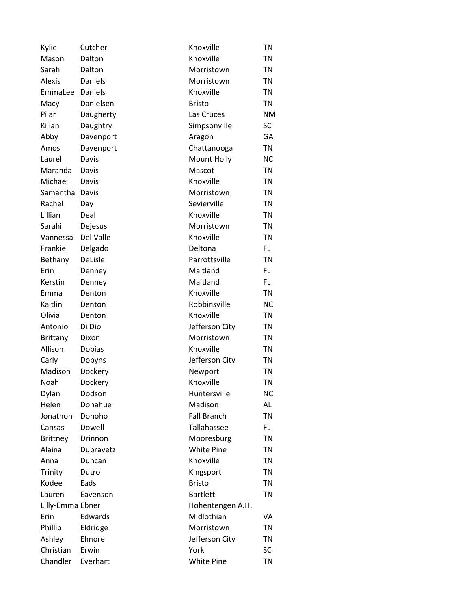| Kylie            | Cutcher        | Knoxville          | TN        |
|------------------|----------------|--------------------|-----------|
| Mason            | Dalton         | Knoxville          | TN        |
| Sarah            | Dalton         | Morristown         | <b>TN</b> |
| <b>Alexis</b>    | Daniels        | Morristown         | TN        |
| EmmaLee          | <b>Daniels</b> | Knoxville          | TN        |
| Macy             | Danielsen      | <b>Bristol</b>     | <b>TN</b> |
| Pilar            | Daugherty      | Las Cruces         | <b>NM</b> |
| Kilian           | Daughtry       | Simpsonville       | <b>SC</b> |
| Abby             | Davenport      | Aragon             | GA        |
| Amos             | Davenport      | Chattanooga        | <b>TN</b> |
| Laurel           | Davis          | Mount Holly        | <b>NC</b> |
| Maranda          | Davis          | Mascot             | TN        |
| Michael          | Davis          | Knoxville          | <b>TN</b> |
| Samantha         | Davis          | Morristown         | TN        |
| Rachel           | Day            | Sevierville        | <b>TN</b> |
| Lillian          | Deal           | Knoxville          | TN        |
| Sarahi           | Dejesus        | Morristown         | TN        |
| Vannessa         | Del Valle      | Knoxville          | TN        |
| Frankie          | Delgado        | Deltona            | FL.       |
| Bethany          | DeLisle        | Parrottsville      | TN        |
| Erin             | Denney         | Maitland           | FL.       |
| Kerstin          | Denney         | Maitland           | FL.       |
| Emma             | Denton         | Knoxville          | TN        |
| Kaitlin          | Denton         | Robbinsville       | <b>NC</b> |
| Olivia           | Denton         | Knoxville          | <b>TN</b> |
| Antonio          | Di Dio         | Jefferson City     | TN        |
| Brittany         | Dixon          | Morristown         | TN        |
| Allison          | Dobias         | Knoxville          | TN        |
| Carly            | Dobyns         | Jefferson City     | <b>TN</b> |
| Madison          | Dockery        | Newport            | TN        |
| Noah             | Dockery        | Knoxville          | <b>TN</b> |
| Dylan            | Dodson         | Huntersville       | <b>NC</b> |
| Helen            | Donahue        | Madison            | AL        |
| Jonathon         | Donoho         | <b>Fall Branch</b> | TN        |
| Cansas           | Dowell         | Tallahassee        | FL.       |
| <b>Brittney</b>  | Drinnon        | Mooresburg         | TN        |
| Alaina           | Dubravetz      | <b>White Pine</b>  | <b>TN</b> |
| Anna             | Duncan         | Knoxville          | TN        |
| Trinity          | Dutro          | Kingsport          | <b>TN</b> |
| Kodee            | Eads           | <b>Bristol</b>     | TN        |
| Lauren           | Eavenson       | <b>Bartlett</b>    | <b>TN</b> |
| Lilly-Emma Ebner |                | Hohentengen A.H.   |           |
| Erin             | Edwards        | Midlothian         | VA        |
| Phillip          | Eldridge       | Morristown         | TN        |
| Ashley           | Elmore         | Jefferson City     | TN        |
| Christian        | Erwin          | York               | SC        |
| Chandler         | Everhart       | White Pine         | TN        |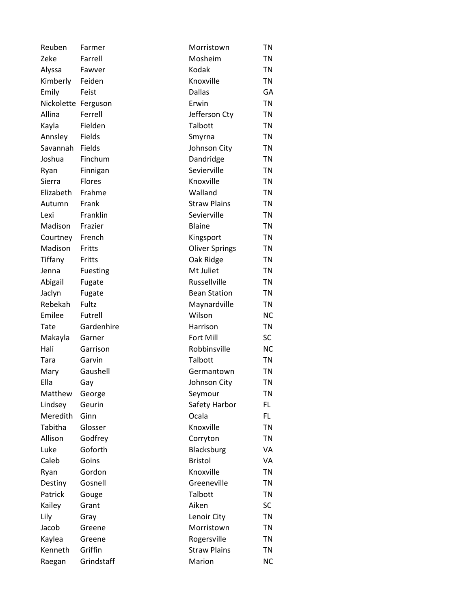| Reuben              | Farmer          | Morristown            | TN        |
|---------------------|-----------------|-----------------------|-----------|
| Zeke                | Farrell         | Mosheim               | TN        |
| Alyssa              | Fawver          | Kodak                 | TN        |
| Kimberly            | Feiden          | Knoxville             | TN        |
| Emily               | Feist           | <b>Dallas</b>         | GA        |
| Nickolette Ferguson |                 | Erwin                 | <b>TN</b> |
| Allina              | Ferrell         | Jefferson Cty         | TN        |
| Kayla               | Fielden         | Talbott               | <b>TN</b> |
| Annsley             | Fields          | Smyrna                | TN        |
| Savannah            | Fields          | Johnson City          | <b>TN</b> |
| Joshua              | Finchum         | Dandridge             | TN        |
| Ryan                | Finnigan        | Sevierville           | TN        |
| Sierra              | <b>Flores</b>   | Knoxville             | <b>TN</b> |
| Elizabeth           | Frahme          | Walland               | TN        |
| Autumn              | Frank           | <b>Straw Plains</b>   | <b>TN</b> |
| Lexi                | Franklin        | Sevierville           | <b>TN</b> |
| Madison             | Frazier         | <b>Blaine</b>         | TN        |
| Courtney            | French          | Kingsport             | TN        |
| Madison             | Fritts          | <b>Oliver Springs</b> | TN        |
| Tiffany             | Fritts          | Oak Ridge             | <b>TN</b> |
| Jenna               | <b>Fuesting</b> | Mt Juliet             | TN        |
| Abigail             | Fugate          | Russellville          | TN        |
| Jaclyn              | Fugate          | <b>Bean Station</b>   | TN        |
| Rebekah             | Fultz           | Maynardville          | TN        |
| Emilee              | Futrell         | Wilson                | <b>NC</b> |
| Tate                | Gardenhire      | Harrison              | TN        |
| Makayla             | Garner          | Fort Mill             | <b>SC</b> |
| Hali                | Garrison        | Robbinsville          | <b>NC</b> |
| Tara                | Garvin          | Talbott               | TN        |
| Mary                | Gaushell        | Germantown            | TN        |
| Ella                | Gay             | Johnson City          | <b>TN</b> |
| Matthew             | George          | Seymour               | TN        |
| Lindsey             | Geurin          | Safety Harbor         | FL        |
| Meredith            | Ginn            | Ocala                 | FL.       |
| Tabitha             | Glosser         | Knoxville             | TN        |
| Allison             | Godfrey         | Corryton              | <b>TN</b> |
| Luke                | Goforth         | Blacksburg            | VA        |
| Caleb               | Goins           | <b>Bristol</b>        | VA        |
| Ryan                | Gordon          | Knoxville             | <b>TN</b> |
| Destiny             | Gosnell         | Greeneville           | TN        |
| Patrick             | Gouge           | Talbott               | <b>TN</b> |
| Kailey              | Grant           | Aiken                 | <b>SC</b> |
| Lily                | Gray            | Lenoir City           | <b>TN</b> |
| Jacob               | Greene          | Morristown            | <b>TN</b> |
| Kaylea              | Greene          | Rogersville           | TN        |
| Kenneth             | Griffin         | <b>Straw Plains</b>   | <b>TN</b> |
| Raegan              | Grindstaff      | Marion                | <b>NC</b> |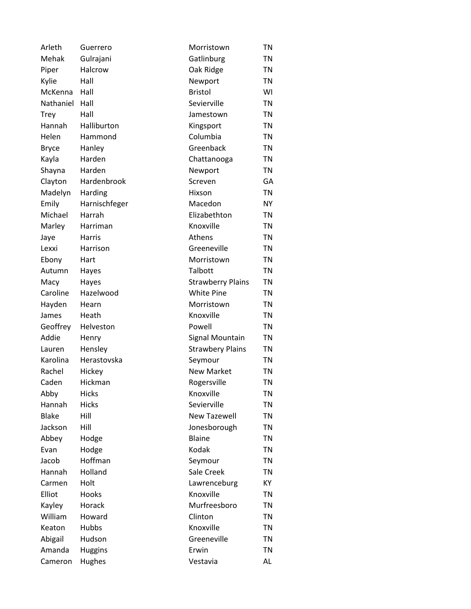| Arleth       | Guerrero       | Morristown               | TN        |
|--------------|----------------|--------------------------|-----------|
| Mehak        | Gulrajani      | Gatlinburg               | TN        |
| Piper        | Halcrow        | Oak Ridge                | TN        |
| Kylie        | Hall           | Newport                  | TN        |
| McKenna      | Hall           | <b>Bristol</b>           | WI        |
| Nathaniel    | Hall           | Sevierville              | <b>TN</b> |
| Trey         | Hall           | Jamestown                | TN        |
| Hannah       | Halliburton    | Kingsport                | <b>TN</b> |
| Helen        | Hammond        | Columbia                 | TN        |
| <b>Bryce</b> | Hanley         | Greenback                | <b>TN</b> |
| Kayla        | Harden         | Chattanooga              | TN        |
| Shayna       | Harden         | Newport                  | TN        |
| Clayton      | Hardenbrook    | Screven                  | GA        |
| Madelyn      | Harding        | Hixson                   | <b>TN</b> |
| Emily        | Harnischfeger  | Macedon                  | <b>NY</b> |
| Michael      | Harrah         | Elizabethton             | TN        |
| Marley       | Harriman       | Knoxville                | TN        |
| Jaye         | Harris         | Athens                   | <b>TN</b> |
| Lexxi        | Harrison       | Greeneville              | TN        |
| Ebony        | Hart           | Morristown               | <b>TN</b> |
| Autumn       | Hayes          | Talbott                  | TN        |
| Macy         | Hayes          | <b>Strawberry Plains</b> | <b>TN</b> |
| Caroline     | Hazelwood      | <b>White Pine</b>        | TN        |
| Hayden       | Hearn          | Morristown               | <b>TN</b> |
| James        | Heath          | Knoxville                | TN        |
| Geoffrey     | Helveston      | Powell                   | TN        |
| Addie        | Henry          | Signal Mountain          | <b>TN</b> |
| Lauren       | Hensley        | <b>Strawbery Plains</b>  | TN        |
| Karolina     | Herastovska    | Seymour                  | <b>TN</b> |
| Rachel       | Hickey         | <b>New Market</b>        | TN        |
| Caden        | Hickman        | Rogersville              | <b>TN</b> |
| Abby         | <b>Hicks</b>   | Knoxville                | <b>TN</b> |
| Hannah       | <b>Hicks</b>   | Sevierville              | TN        |
| <b>Blake</b> | Hill           | <b>New Tazewell</b>      | TN        |
| Jackson      | Hill           | Jonesborough             | <b>TN</b> |
| Abbey        | Hodge          | <b>Blaine</b>            | <b>TN</b> |
| Evan         | Hodge          | Kodak                    | <b>TN</b> |
| Jacob        | Hoffman        | Seymour                  | <b>TN</b> |
| Hannah       | Holland        | Sale Creek               | <b>TN</b> |
| Carmen       | Holt           | Lawrenceburg             | KY        |
| Elliot       | Hooks          | Knoxville                | <b>TN</b> |
| Kayley       | Horack         | Murfreesboro             | <b>TN</b> |
| William      | Howard         | Clinton                  | <b>TN</b> |
| Keaton       | Hubbs          | Knoxville                | TN        |
| Abigail      | Hudson         | Greeneville              | TN        |
| Amanda       | <b>Huggins</b> | Erwin                    | <b>TN</b> |
| Cameron      | Hughes         | Vestavia                 | AL        |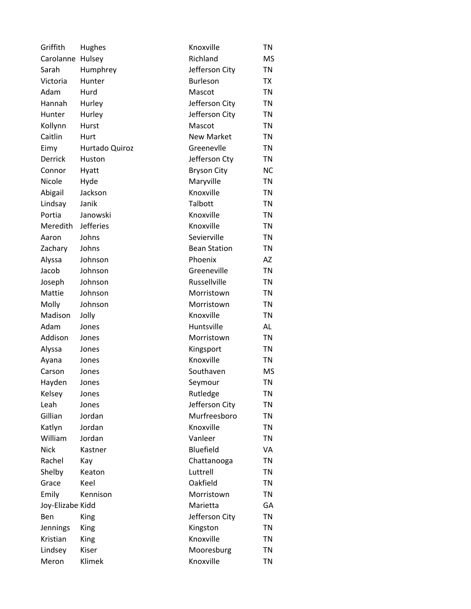| Griffith         | Hughes         | Knoxville           | <b>TN</b> |
|------------------|----------------|---------------------|-----------|
| Carolanne        | Hulsey         | Richland            | <b>MS</b> |
| Sarah            | Humphrey       | Jefferson City      | <b>TN</b> |
| Victoria         | Hunter         | <b>Burleson</b>     | TX        |
| Adam             | Hurd           | Mascot              | <b>TN</b> |
| Hannah           | Hurley         | Jefferson City      | <b>TN</b> |
| <b>Hunter</b>    | Hurley         | Jefferson City      | <b>TN</b> |
| Kollynn          | Hurst          | Mascot              | <b>TN</b> |
| Caitlin          | Hurt           | <b>New Market</b>   | <b>TN</b> |
| Eimy             | Hurtado Quiroz | Greenevlle          | <b>TN</b> |
| Derrick          | Huston         | Jefferson Cty       | <b>TN</b> |
| Connor           | Hyatt          | <b>Bryson City</b>  | <b>NC</b> |
| Nicole           | Hyde           | Maryville           | <b>TN</b> |
| Abigail          | Jackson        | Knoxville           | <b>TN</b> |
| Lindsay          | Janik          | Talbott             | <b>TN</b> |
| Portia           | Janowski       | Knoxville           | <b>TN</b> |
| Meredith         | Jefferies      | Knoxville           | <b>TN</b> |
| Aaron            | Johns          | Sevierville         | <b>TN</b> |
| Zachary          | Johns          | <b>Bean Station</b> | <b>TN</b> |
| Alyssa           | Johnson        | Phoenix             | AZ        |
| Jacob            | Johnson        | Greeneville         | <b>TN</b> |
| Joseph           | Johnson        | Russellville        | <b>TN</b> |
| Mattie           | Johnson        | Morristown          | <b>TN</b> |
| Molly            | Johnson        | Morristown          | <b>TN</b> |
| Madison          | Jolly          | Knoxville           | <b>TN</b> |
| Adam             | Jones          | Huntsville          | AL        |
| Addison          | Jones          | Morristown          | <b>TN</b> |
| Alyssa           | Jones          | Kingsport           | <b>TN</b> |
| Ayana            | Jones          | Knoxville           | <b>TN</b> |
| Carson           | Jones          | Southaven           | <b>MS</b> |
| Hayden           | Jones          | Seymour             | <b>TN</b> |
| Kelsey           | Jones          | Rutledge            | <b>TN</b> |
| Leah             | Jones          | Jefferson City      | <b>TN</b> |
| Gillian          | Jordan         | Murfreesboro        | <b>TN</b> |
| Katlyn           | Jordan         | Knoxville           | <b>TN</b> |
| William          | Jordan         | Vanleer             | <b>TN</b> |
| <b>Nick</b>      | Kastner        | <b>Bluefield</b>    | VA        |
| Rachel           | Kay            | Chattanooga         | <b>TN</b> |
| Shelby           | Keaton         | Luttrell            | <b>TN</b> |
| Grace            | Keel           | Oakfield            | <b>TN</b> |
| Emily            | Kennison       | Morristown          | <b>TN</b> |
| Joy-Elizabe Kidd |                | Marietta            | GА        |
| <b>Ben</b>       | King           | Jefferson City      | <b>TN</b> |
| Jennings         | King           | Kingston            | <b>TN</b> |
| Kristian         | King           | Knoxville           | <b>TN</b> |
| Lindsey          | Kiser          | Mooresburg          | <b>TN</b> |
| Meron            | Klimek         | Knoxville           | <b>TN</b> |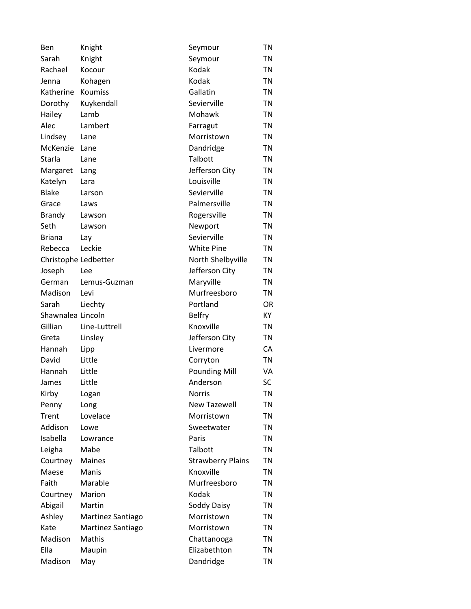| Ben                  | Knight            | Seymour                  | TN        |
|----------------------|-------------------|--------------------------|-----------|
| Sarah                | Knight            | Seymour                  | TN        |
| Rachael              | Kocour            | Kodak                    | TN        |
| Jenna                | Kohagen           | Kodak                    | TN        |
| Katherine            | <b>Koumiss</b>    | Gallatin                 | <b>TN</b> |
| Dorothy              | Kuykendall        | Sevierville              | <b>TN</b> |
| Hailey               | Lamb              | Mohawk                   | TN        |
| Alec                 | Lambert           | Farragut                 | <b>TN</b> |
| Lindsey              | Lane              | Morristown               | TN        |
| McKenzie             | Lane              | Dandridge                | <b>TN</b> |
| Starla               | Lane              | Talbott                  | TN        |
| Margaret             | Lang              | Jefferson City           | <b>TN</b> |
| Katelyn              | Lara              | Louisville               | <b>TN</b> |
| <b>Blake</b>         | Larson            | Sevierville              | TN        |
| Grace                | Laws              | Palmersville             | <b>TN</b> |
| <b>Brandy</b>        | Lawson            | Rogersville              | TN        |
| Seth                 | Lawson            | Newport                  | TN        |
| <b>Briana</b>        | Lay               | Sevierville              | <b>TN</b> |
| Rebecca              | Leckie            | <b>White Pine</b>        | TN        |
| Christophe Ledbetter |                   | North Shelbyville        | <b>TN</b> |
| Joseph               | Lee               | Jefferson City           | TN        |
| German               | Lemus-Guzman      | Maryville                | <b>TN</b> |
| Madison              | Levi              | Murfreesboro             | <b>TN</b> |
| Sarah                | Liechty           | Portland                 | OR        |
| Shawnalea Lincoln    |                   | <b>Belfry</b>            | KY        |
| Gillian              | Line-Luttrell     | Knoxville                | TN        |
| Greta                | Linsley           | Jefferson City           | <b>TN</b> |
| Hannah               | Lipp              | Livermore                | CA        |
| David                | Little            | Corryton                 | <b>TN</b> |
| Hannah               | Little            | <b>Pounding Mill</b>     | VA        |
| James                | Little            | Anderson                 | <b>SC</b> |
| Kirby                | Logan             | <b>Norris</b>            | TN        |
| Penny                | Long              | <b>New Tazewell</b>      | TN        |
| Trent                | Lovelace          | Morristown               | TN        |
| Addison              | Lowe              | Sweetwater               | <b>TN</b> |
| Isabella             | Lowrance          | Paris                    | <b>TN</b> |
| Leigha               | Mabe              | Talbott                  | TN        |
| Courtney             | <b>Maines</b>     | <b>Strawberry Plains</b> | TN        |
| Maese                | Manis             | Knoxville                | TN        |
| Faith                | Marable           | Murfreesboro             | TN        |
| Courtney             | Marion            | Kodak                    | <b>TN</b> |
| Abigail              | Martin            | Soddy Daisy              | <b>TN</b> |
| Ashley               | Martinez Santiago | Morristown               | TN        |
| Kate                 | Martinez Santiago | Morristown               | <b>TN</b> |
| Madison              | Mathis            | Chattanooga              | <b>TN</b> |
| Ella                 | Maupin            | Elizabethton             | <b>TN</b> |
| Madison              | May               | Dandridge                | <b>TN</b> |
|                      |                   |                          |           |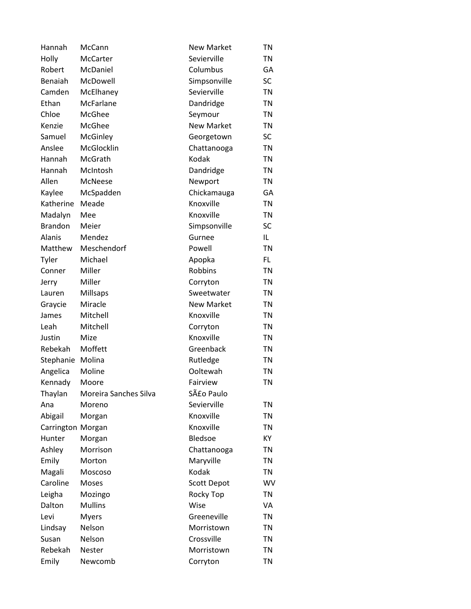| Hannah            | McCann                | <b>New Market</b>  | TN        |
|-------------------|-----------------------|--------------------|-----------|
| Holly             | <b>McCarter</b>       | Sevierville        | TN        |
| Robert            | McDaniel              | Columbus           | GA        |
| Benaiah           | McDowell              | Simpsonville       | SC        |
| Camden            | McElhaney             | Sevierville        | <b>TN</b> |
| Ethan             | McFarlane             | Dandridge          | TN        |
| Chloe             | McGhee                | Seymour            | TN        |
| Kenzie            | McGhee                | <b>New Market</b>  | TN        |
| Samuel            | McGinley              | Georgetown         | SC        |
| Anslee            | McGlocklin            | Chattanooga        | <b>TN</b> |
| Hannah            | McGrath               | Kodak              | TN        |
| Hannah            | McIntosh              | Dandridge          | TN        |
| Allen             | McNeese               | Newport            | TN        |
| Kaylee            | McSpadden             | Chickamauga        | GA        |
| Katherine         | Meade                 | Knoxville          | <b>TN</b> |
| Madalyn           | Mee                   | Knoxville          | TN        |
| <b>Brandon</b>    | Meier                 | Simpsonville       | <b>SC</b> |
| Alanis            | Mendez                | Gurnee             | IL.       |
| Matthew           | Meschendorf           | Powell             | <b>TN</b> |
| Tyler             | Michael               | Apopka             | FL.       |
| Conner            | Miller                | Robbins            | TN        |
| Jerry             | Miller                | Corryton           | TN        |
| Lauren            | Millsaps              | Sweetwater         | TN        |
| Graycie           | Miracle               | <b>New Market</b>  | TN        |
| James             | Mitchell              | Knoxville          | TN        |
| Leah              | Mitchell              | Corryton           | TN        |
| Justin            | Mize                  | Knoxville          | TN        |
| Rebekah           | Moffett               | Greenback          | TN        |
| Stephanie         | Molina                | Rutledge           | <b>TN</b> |
| Angelica          | Moline                | Ooltewah           | TN        |
| Kennady           | Moore                 | Fairview           | <b>TN</b> |
| Thaylan           | Moreira Sanches Silva | São Paulo          |           |
| Ana               | Moreno                | Sevierville        | TN        |
| Abigail           | Morgan                | Knoxville          | TN        |
| Carrington Morgan |                       | Knoxville          | TN        |
| Hunter            | Morgan                | Bledsoe            | KY        |
| Ashley            | Morrison              | Chattanooga        | TN        |
| Emily             | Morton                | Maryville          | TN        |
| Magali            | Moscoso               | Kodak              | TN        |
| Caroline          | Moses                 | <b>Scott Depot</b> | WV        |
| Leigha            | Mozingo               | Rocky Top          | <b>TN</b> |
| Dalton            | <b>Mullins</b>        | Wise               | VA        |
| Levi              | <b>Myers</b>          | Greeneville        | TN        |
| Lindsay           | Nelson                | Morristown         | TN        |
| Susan             | Nelson                | Crossville         | TN        |
| Rebekah           | Nester                | Morristown         | TN        |
| Emily             | Newcomb               | Corryton           | TN        |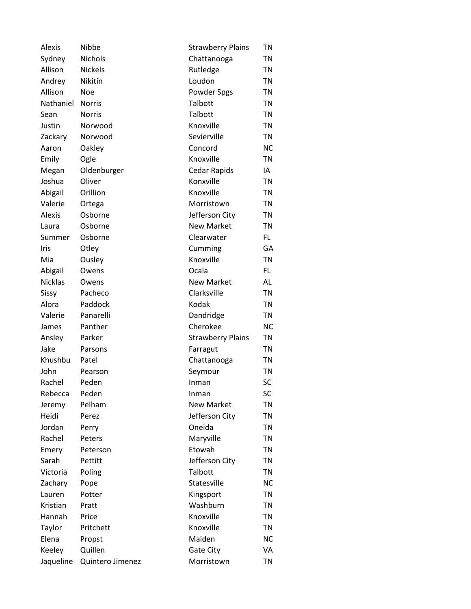| Alexis         | Nibbe            | <b>Strawberry Plains</b> | TN        |
|----------------|------------------|--------------------------|-----------|
| Sydney         | Nichols          | Chattanooga              | <b>TN</b> |
| Allison        | <b>Nickels</b>   | Rutledge                 | <b>TN</b> |
| Andrey         | Nikitin          | Loudon                   | <b>TN</b> |
| Allison        | Noe              | Powder Spgs              | <b>TN</b> |
| Nathaniel      | <b>Norris</b>    | Talbott                  | <b>TN</b> |
| Sean           | <b>Norris</b>    | Talbott                  | <b>TN</b> |
| Justin         | Norwood          | Knoxville                | <b>TN</b> |
| Zackary        | Norwood          | Sevierville              | <b>TN</b> |
| Aaron          | Oakley           | Concord                  | <b>NC</b> |
| Emily          | Ogle             | Knoxville                | <b>TN</b> |
| Megan          | Oldenburger      | <b>Cedar Rapids</b>      | IA        |
| Joshua         | Oliver           | Konxville                | <b>TN</b> |
| Abigail        | Orillion         | Knoxville                | <b>TN</b> |
| Valerie        | Ortega           | Morristown               | <b>TN</b> |
| Alexis         | Osborne          | Jefferson City           | <b>TN</b> |
| Laura          | Osborne          | <b>New Market</b>        | <b>TN</b> |
| Summer         | Osborne          | Clearwater               | FL.       |
| Iris           | Otley            | Cumming                  | GA        |
| Mia            | Ousley           | Knoxville                | <b>TN</b> |
| Abigail        | Owens            | Ocala                    | FL        |
| <b>Nicklas</b> | Owens            | <b>New Market</b>        | AL        |
| Sissy          | Pacheco          | Clarksville              | <b>TN</b> |
| Alora          | Paddock          | Kodak                    | <b>TN</b> |
| Valerie        | Panarelli        | Dandridge                | <b>TN</b> |
| James          | Panther          | Cherokee                 | <b>NC</b> |
| Ansley         | Parker           | <b>Strawberry Plains</b> | <b>TN</b> |
| Jake           | Parsons          | Farragut                 | <b>TN</b> |
| Khushbu        | Patel            | Chattanooga              | <b>TN</b> |
| John           | Pearson          | Seymour                  | <b>TN</b> |
| Rachel         | Peden            | Inman                    | <b>SC</b> |
| Rebecca        | Peden            | Inman                    | SC        |
| Jeremy         | Pelham           | <b>New Market</b>        | <b>TN</b> |
| Heidi          | Perez            | Jefferson City           | <b>TN</b> |
| Jordan         | Perry            | Oneida                   | <b>TN</b> |
| Rachel         | Peters           | Maryville                | <b>TN</b> |
| Emery          | Peterson         | Etowah                   | <b>TN</b> |
| Sarah          | Pettitt          | Jefferson City           | <b>TN</b> |
| Victoria       | Poling           | Talbott                  | <b>TN</b> |
| Zachary        | Pope             | Statesville              | <b>NC</b> |
| Lauren         | Potter           | Kingsport                | <b>TN</b> |
| Kristian       | Pratt            | Washburn                 | <b>TN</b> |
| Hannah         | Price            | Knoxville                | <b>TN</b> |
| Taylor         | Pritchett        | Knoxville                | <b>TN</b> |
| Elena          | Propst           | Maiden                   | <b>NC</b> |
| Keeley         | Quillen          | Gate City                | VA        |
| Jaqueline      | Quintero Jimenez | Morristown               | <b>TN</b> |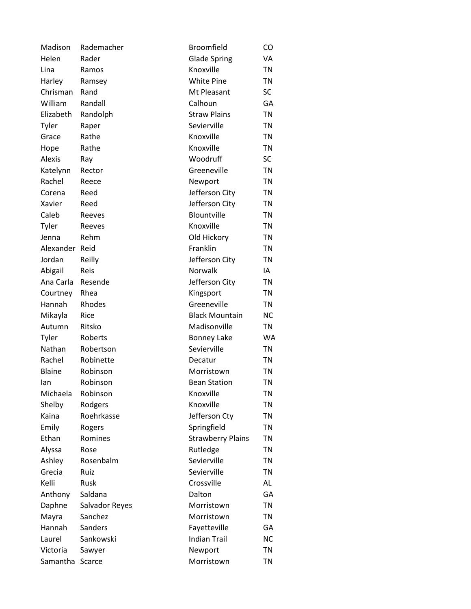| Madison       | Rademacher     | <b>Broomfield</b>        | CO        |
|---------------|----------------|--------------------------|-----------|
| Helen         | Rader          | <b>Glade Spring</b>      | VA        |
| Lina          | Ramos          | Knoxville                | <b>TN</b> |
| Harley        | Ramsey         | <b>White Pine</b>        | <b>TN</b> |
| Chrisman      | Rand           | Mt Pleasant              | SC        |
| William       | Randall        | Calhoun                  | GA        |
| Elizabeth     | Randolph       | <b>Straw Plains</b>      | <b>TN</b> |
| Tyler         | Raper          | Sevierville              | <b>TN</b> |
| Grace         | Rathe          | Knoxville                | <b>TN</b> |
| Hope          | Rathe          | Knoxville                | <b>TN</b> |
| Alexis        | Ray            | Woodruff                 | SC        |
| Katelynn      | Rector         | Greeneville              | <b>TN</b> |
| Rachel        | Reece          | Newport                  | <b>TN</b> |
| Corena        | Reed           | Jefferson City           | <b>TN</b> |
| Xavier        | Reed           | Jefferson City           | <b>TN</b> |
| Caleb         | Reeves         | Blountville              | <b>TN</b> |
| Tyler         | Reeves         | Knoxville                | <b>TN</b> |
| Jenna         | Rehm           | Old Hickory              | <b>TN</b> |
| Alexander     | Reid           | Franklin                 | <b>TN</b> |
| Jordan        | Reilly         | Jefferson City           | <b>TN</b> |
| Abigail       | Reis           | Norwalk                  | IA        |
| Ana Carla     | Resende        | Jefferson City           | <b>TN</b> |
| Courtney      | Rhea           | Kingsport                | <b>TN</b> |
| Hannah        | Rhodes         | Greeneville              | <b>TN</b> |
| Mikayla       | Rice           | <b>Black Mountain</b>    | <b>NC</b> |
| Autumn        | Ritsko         | Madisonville             | TN        |
| Tyler         | Roberts        | <b>Bonney Lake</b>       | <b>WA</b> |
| Nathan        | Robertson      | Sevierville              | <b>TN</b> |
| Rachel        | Robinette      | Decatur                  | <b>TN</b> |
| <b>Blaine</b> | Robinson       | Morristown               | <b>TN</b> |
| lan           | Robinson       | <b>Bean Station</b>      | <b>TN</b> |
| Michaela      | Robinson       | Knoxville                | ΤN        |
| Shelby        | Rodgers        | Knoxville                | <b>TN</b> |
| Kaina         | Roehrkasse     | Jefferson Cty            | <b>TN</b> |
| Emily         | Rogers         | Springfield              | <b>TN</b> |
| Ethan         | Romines        | <b>Strawberry Plains</b> | <b>TN</b> |
| Alyssa        | Rose           | Rutledge                 | <b>TN</b> |
| Ashley        | Rosenbalm      | Sevierville              | <b>TN</b> |
| Grecia        | Ruiz           | Sevierville              | <b>TN</b> |
| Kelli         | <b>Rusk</b>    | Crossville               | AL        |
| Anthony       | Saldana        | Dalton                   | GA        |
| Daphne        | Salvador Reyes | Morristown               | TN        |
| Mayra         | Sanchez        | Morristown               | TN        |
| Hannah        | Sanders        | Fayetteville             | GA        |
| Laurel        | Sankowski      | <b>Indian Trail</b>      | <b>NC</b> |
| Victoria      | Sawyer         | Newport                  | <b>TN</b> |
| Samantha      | Scarce         | Morristown               | <b>TN</b> |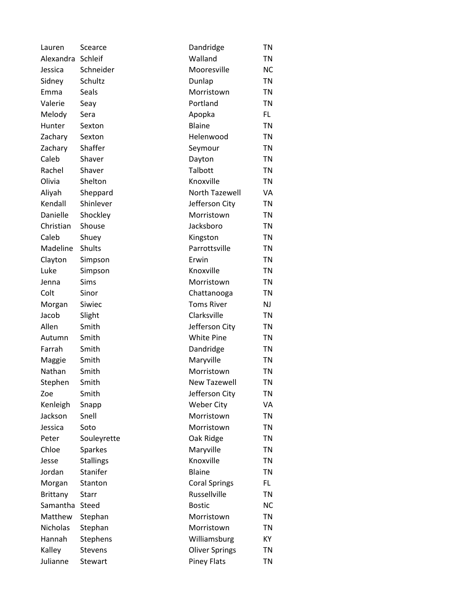| Lauren          | Scearce          | Dandridge             | TN        |
|-----------------|------------------|-----------------------|-----------|
| Alexandra       | Schleif          | Walland               | TN        |
| Jessica         | Schneider        | Mooresville           | <b>NC</b> |
| Sidney          | Schultz          | Dunlap                | TN        |
| Emma            | Seals            | Morristown            | <b>TN</b> |
| Valerie         | Seay             | Portland              | <b>TN</b> |
| Melody          | Sera             | Apopka                | FL.       |
| Hunter          | Sexton           | <b>Blaine</b>         | <b>TN</b> |
| Zachary         | Sexton           | Helenwood             | TN        |
| Zachary         | Shaffer          | Seymour               | <b>TN</b> |
| Caleb           | Shaver           | Dayton                | TN        |
| Rachel          | Shaver           | Talbott               | TN        |
| Olivia          | Shelton          | Knoxville             | <b>TN</b> |
| Aliyah          | Sheppard         | <b>North Tazewell</b> | VA        |
| Kendall         | Shinlever        | Jefferson City        | <b>TN</b> |
| Danielle        | Shockley         | Morristown            | <b>TN</b> |
| Christian       | Shouse           | Jacksboro             | TN        |
| Caleb           | Shuey            | Kingston              | <b>TN</b> |
| Madeline        | Shults           | Parrottsville         | TN        |
| Clayton         | Simpson          | Erwin                 | <b>TN</b> |
| Luke            | Simpson          | Knoxville             | TN        |
| Jenna           | Sims             | Morristown            | <b>TN</b> |
| Colt            | Sinor            | Chattanooga           | <b>TN</b> |
| Morgan          | Siwiec           | <b>Toms River</b>     | NJ        |
| Jacob           | Slight           | Clarksville           | <b>TN</b> |
| Allen           | Smith            | Jefferson City        | TN        |
| Autumn          | Smith            | <b>White Pine</b>     | <b>TN</b> |
| Farrah          | Smith            | Dandridge             | <b>TN</b> |
| Maggie          | Smith            | Maryville             | <b>TN</b> |
| Nathan          | Smith            | Morristown            | TN        |
| Stephen         | Smith            | <b>New Tazewell</b>   | <b>TN</b> |
| Zoe             | Smith            | Jefferson City        | ΤN        |
| Kenleigh        | Snapp            | <b>Weber City</b>     | VA        |
| Jackson         | Snell            | Morristown            | <b>TN</b> |
| Jessica         | Soto             | Morristown            | <b>TN</b> |
| Peter           | Souleyrette      | Oak Ridge             | <b>TN</b> |
| Chloe           | Sparkes          | Maryville             | <b>TN</b> |
| Jesse           | <b>Stallings</b> | Knoxville             | <b>TN</b> |
| Jordan          | Stanifer         | <b>Blaine</b>         | <b>TN</b> |
| Morgan          | Stanton          | <b>Coral Springs</b>  | FL.       |
| <b>Brittany</b> | Starr            | Russellville          | <b>TN</b> |
| Samantha        | Steed            | <b>Bostic</b>         | <b>NC</b> |
| Matthew         | Stephan          | Morristown            | <b>TN</b> |
| Nicholas        | Stephan          | Morristown            | <b>TN</b> |
| Hannah          | Stephens         | Williamsburg          | KY        |
| Kalley          | <b>Stevens</b>   | <b>Oliver Springs</b> | <b>TN</b> |
| Julianne        | Stewart          | <b>Piney Flats</b>    | <b>TN</b> |
|                 |                  |                       |           |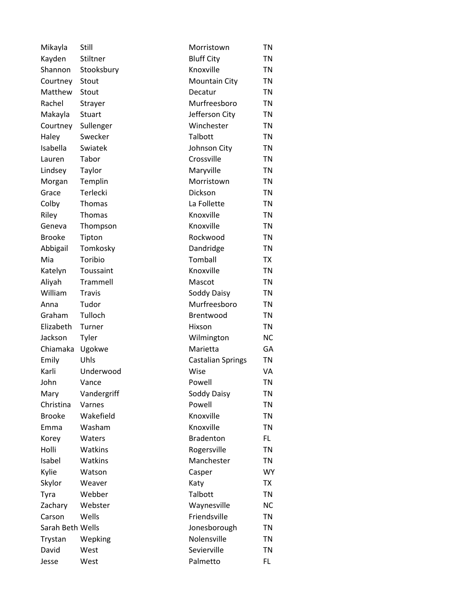| Mikayla          | Still         | Morristown               | TN        |
|------------------|---------------|--------------------------|-----------|
| Kayden           | Stiltner      | <b>Bluff City</b>        | TN        |
| Shannon          | Stooksbury    | Knoxville                | TN        |
| Courtney         | Stout         | <b>Mountain City</b>     | TN        |
| Matthew          | Stout         | Decatur                  | TN        |
| Rachel           | Strayer       | Murfreesboro             | <b>TN</b> |
| Makayla          | Stuart        | Jefferson City           | TN        |
| Courtney         | Sullenger     | Winchester               | TN        |
| Haley            | Swecker       | Talbott                  | TN        |
| Isabella         | Swiatek       | Johnson City             | TN        |
| Lauren           | Tabor         | Crossville               | TN        |
| Lindsey          | Taylor        | Maryville                | TN        |
| Morgan           | Templin       | Morristown               | TN        |
| Grace            | Terlecki      | Dickson                  | TN        |
| Colby            | Thomas        | La Follette              | TN        |
| Riley            | <b>Thomas</b> | Knoxville                | TN        |
| Geneva           | Thompson      | Knoxville                | TN        |
| <b>Brooke</b>    | Tipton        | Rockwood                 | TN        |
| Abbigail         | Tomkosky      | Dandridge                | TN        |
| Mia              | Toribio       | Tomball                  | <b>TX</b> |
| Katelyn          | Toussaint     | Knoxville                | TN        |
| Aliyah           | Trammell      | Mascot                   | TN        |
| William          | Travis        | Soddy Daisy              | TN        |
| Anna             | Tudor         | Murfreesboro             | <b>TN</b> |
| Graham           | Tulloch       | Brentwood                | TN        |
| Elizabeth        | Turner        | Hixson                   | TN        |
| Jackson          | Tyler         | Wilmington               | <b>NC</b> |
| Chiamaka         | Ugokwe        | Marietta                 | GA        |
| Emily            | Uhls          | <b>Castalian Springs</b> | <b>TN</b> |
| Karli            | Underwood     | Wise                     | VA        |
| John             | Vance         | Powell                   | <b>TN</b> |
| Mary             | Vandergriff   | Soddy Daisy              | <b>TN</b> |
| Christina        | Varnes        | Powell                   | <b>TN</b> |
| <b>Brooke</b>    | Wakefield     | Knoxville                | <b>TN</b> |
| Emma             | Washam        | Knoxville                | <b>TN</b> |
| Korey            | Waters        | <b>Bradenton</b>         | FL.       |
| Holli            | Watkins       | Rogersville              | <b>TN</b> |
| Isabel           | Watkins       | Manchester               | <b>TN</b> |
| Kylie            | Watson        | Casper                   | <b>WY</b> |
| Skylor           | Weaver        | Katy                     | <b>TX</b> |
| Tyra             | Webber        | Talbott                  | <b>TN</b> |
| Zachary          | Webster       | Waynesville              | <b>NC</b> |
| Carson           | Wells         | Friendsville             | <b>TN</b> |
| Sarah Beth Wells |               | Jonesborough             | <b>TN</b> |
| Trystan          | Wepking       | Nolensville              | <b>TN</b> |
| David            | West          | Sevierville              | <b>TN</b> |
| Jesse            | West          | Palmetto                 | FL        |